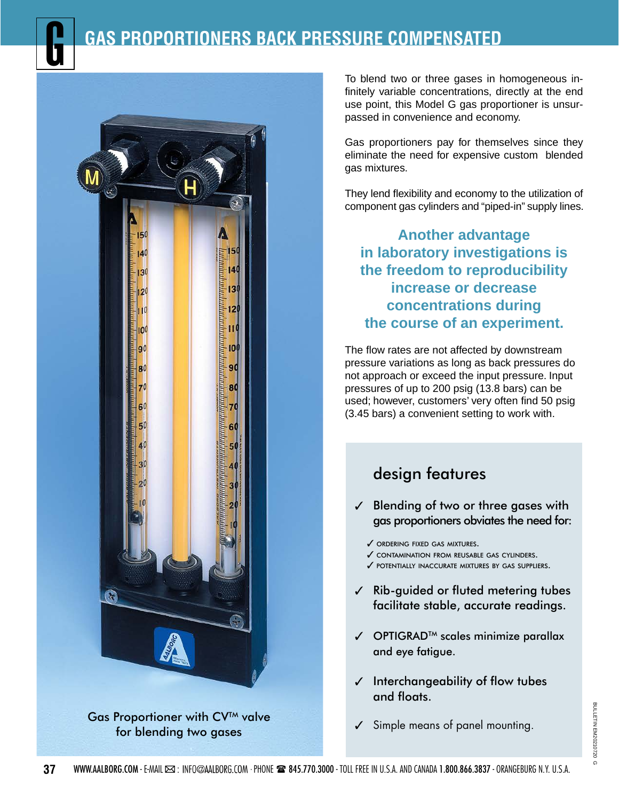# **GAS PROPORTIONERS BACK PRESSURE COMPENSATED** G



Gas Proportioner with CV™ valve for blending two gases

To blend two or three gases in homogeneous infinitely variable concentrations, directly at the end use point, this Model G gas proportioner is unsurpassed in convenience and economy.

Gas proportioners pay for themselves since they eliminate the need for expensive custom blended gas mixtures.

They lend flexibility and economy to the utilization of component gas cylinders and "piped-in" supply lines.

**Another advantage in laboratory investigations is the freedom to reproducibility increase or decrease concentrations during the course of an experiment.**

The flow rates are not affected by downstream pressure variations as long as back pressures do not approach or exceed the input pressure. Input pressures of up to 200 psig (13.8 bars) can be used; however, customers' very often find 50 psig (3.45 bars) a convenient setting to work with.

# design features

- $<$  Blending of two or three gases with gas proportioners obviates the need for:
	- $\checkmark$  ordering fixed gas mixtures.
	- 3 contamination from reusable gas cylinders.
	- $\checkmark$  potentially inaccurate mixtures by GAS suppliers.
- $\sqrt{ }$  Rib-guided or fluted metering tubes facilitate stable, accurate readings.
- $\checkmark$  OPTIGRAD<sup>TM</sup> scales minimize parallax and eye fatigue.
- $\checkmark$  Interchangeability of flow tubes and floats.
- $\checkmark$  Simple means of panel mounting.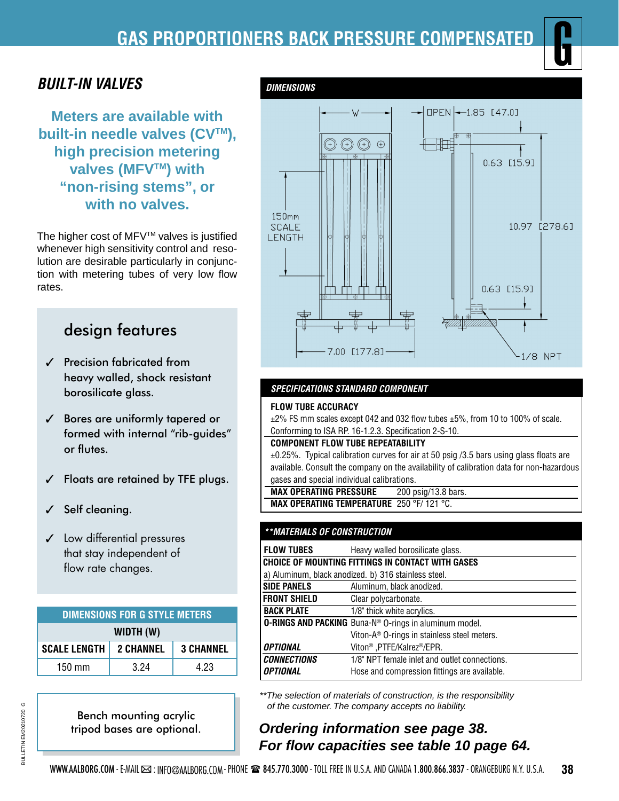# **GAS PROPORTIONERS BACK PRESSURE COMPENSATED** G

# *BUILT-IN VALVES*

**Meters are available with built-in needle valves (CV™), high precision metering valves (MFVTM) with "non-rising stems", or with no valves.** 

The higher cost of MFV™ valves is justified whenever high sensitivity control and resolution are desirable particularly in conjunction with metering tubes of very low flow rates.

# design features

- $<sup>7</sup>$  Precision fabricated from</sup> heavy walled, shock resistant borosilicate glass.
- $<sup>7</sup>$  Bores are uniformly tapered or</sup> formed with internal "rib-guides" or flutes.
- $\checkmark$  Floats are retained by TFE plugs.
- Self cleaning.
- $\checkmark$  Low differential pressures that stay independent of flow rate changes.

| <b>DIMENSIONS FOR G STYLE METERS</b> |                  |                  |  |
|--------------------------------------|------------------|------------------|--|
| WIDTH (W)                            |                  |                  |  |
| <b>SCALE LENGTH</b>                  | <b>2 CHANNEL</b> | <b>3 CHANNEL</b> |  |
| $150$ mm                             | 3.24             | 4.23             |  |





### *SPECIFICATIONS STANDARD COMPONENT*

#### **FLOW TUBE ACCURACY**

 ±2% FS mm scales except 042 and 032 flow tubes ±5%, from 10 to 100% of scale. Conforming to ISA RP. 16-1.2.3. Specification 2-S-10.

#### **COMPONENT FLOW TUBE REPEATABILITY**

±0.25%. Typical calibration curves for air at 50 psig /3.5 bars using glass floats are available. Consult the company on the availability of calibration data for non-hazardous gases and special individual calibrations.

 **MAX OPERATING PRESSURE** 200 psig/13.8 bars.  **MAX OPERATING TEMPERATURE** 250 °F/ 121 °C.

### *\*\*MATERIALS OF CONSTRUCTION*

| <b>FLOW TUBES</b>                                             | Heavy walled borosilicate glass.                        |  |
|---------------------------------------------------------------|---------------------------------------------------------|--|
| CHOICE OF MOUNTING FITTINGS IN CONTACT WITH GASES             |                                                         |  |
| a) Aluminum, black anodized. b) 316 stainless steel.          |                                                         |  |
| <b>SIDE PANELS</b>                                            | Aluminum, black anodized.                               |  |
| <b>FRONT SHIELD</b>                                           | Clear polycarbonate.                                    |  |
| <b>BACK PLATE</b>                                             | 1/8" thick white acrylics.                              |  |
| <b>O-RINGS AND PACKING</b> Buna-N® O-rings in aluminum model. |                                                         |  |
|                                                               | Viton-A <sup>®</sup> O-rings in stainless steel meters. |  |
| OPTIONAL                                                      | Viton <sup>®</sup> ,PTFE/Kalrez <sup>®</sup> /EPR.      |  |
| <b>CONNECTIONS</b>                                            | 1/8" NPT female inlet and outlet connections.           |  |
| OPTIONAL                                                      | Hose and compression fittings are available.            |  |

*\*\*The selection of materials of construction, is the responsibility of the customer. The company accepts no liability.*

## *Ordering information see page 38. For flow capacities see table 10 page 64.*